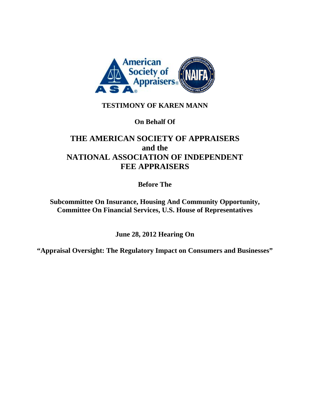

## **TESTIMONY OF KAREN MANN**

**On Behalf Of** 

# **THE AMERICAN SOCIETY OF APPRAISERS and the NATIONAL ASSOCIATION OF INDEPENDENT FEE APPRAISERS**

**Before The** 

**Subcommittee On Insurance, Housing And Community Opportunity, Committee On Financial Services, U.S. House of Representatives** 

**June 28, 2012 Hearing On** 

**"Appraisal Oversight: The Regulatory Impact on Consumers and Businesses"**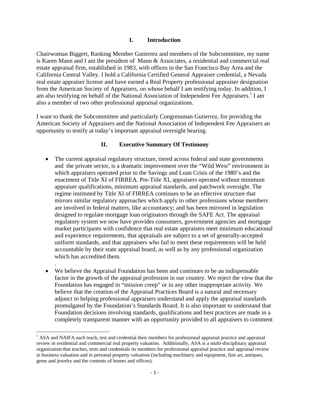#### **I. Introduction**

Chairwoman Biggert, Ranking Member Gutierrez and members of the Subcommittee, my name is Karen Mann and I am the president of Mann & Associates, a residential and commercial real estate appraisal firm, established in 1983, with offices in the San Francisco Bay Area and the California Central Valley. I hold a California Certified General Appraiser credential, a Nevada real estate appraiser license and have earned a Real Property professional appraiser designation from the American Society of Appraisers, on whose behalf I am testifying today. In addition, I am also testifying on behalf of the National Association of Independent Fee Appraisers.<sup>1</sup> I am also a member of two other professional appraisal organizations.

I want to thank the Subcommittee and particularly Congressman Gutierrez, for providing the American Society of Appraisers and the National Association of Independent Fee Appraisers an opportunity to testify at today's important appraisal oversight hearing.

#### **II. Executive Summary Of Testimony**

- The current appraisal regulatory structure, tiered across federal and state governments and the private sector, is a dramatic improvement over the "Wild West" environment in which appraisers operated prior to the Savings and Loan Crisis of the 1980's and the enactment of Title XI of FIRREA. Pre-Title XI, appraisers operated without minimum appraiser qualifications, minimum appraisal standards, and patchwork oversight. The regime instituted by Title XI of FIRREA continues to be an effective structure that mirrors similar regulatory approaches which apply to other professions whose members are involved in federal matters, like accountancy; and has been mirrored in legislation designed to regulate mortgage loan originators through the SAFE Act. The appraisal regulatory system we now have provides consumers, government agencies and mortgage market participants with confidence that real estate appraisers meet minimum educational and experience requirements, that appraisals are subject to a set of generally-accepted uniform standards, and that appraisers who fail to meet these requirements will be held accountable by their state appraisal board, as well as by any professional organization which has accredited them.
- We believe the Appraisal Foundation has been and continues to be an indispensable factor in the growth of the appraisal profession in our country. We reject the view that the Foundation has engaged in "mission creep" or in any other inappropriate activity. We believe that the creation of the Appraisal Practices Board is a natural and necessary adjunct to helping professional appraisers understand and apply the appraisal standards promulgated by the Foundation's Standards Board. It is also important to understand that Foundation decisions involving standards, qualifications and best practices are made in a completely transparent manner with an opportunity provided to all appraisers to comment

.

<sup>&</sup>lt;sup>1</sup> ASA and NAIFA each teach, test and credential their members for professional appraisal practice and appraisal review in residential and commercial real property valuation. Additionally, ASA is a multi-disciplinary appraisal organization that teaches, tests and credentials its members for professional appraisal practice and appraisal review in business valuation and in personal property valuation (including machinery and equipment, fine art, antiques, gems and jewelry and the contents of homes and offices).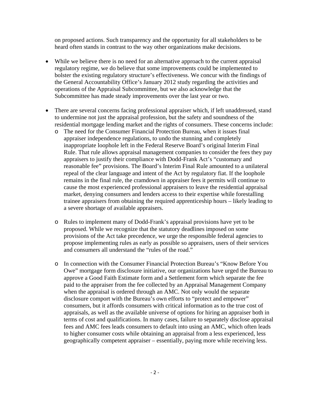on proposed actions. Such transparency and the opportunity for all stakeholders to be heard often stands in contrast to the way other organizations make decisions.

- While we believe there is no need for an alternative approach to the current appraisal regulatory regime, we do believe that some improvements could be implemented to bolster the existing regulatory structure's effectiveness. We concur with the findings of the General Accountability Office's January 2012 study regarding the activities and operations of the Appraisal Subcommittee, but we also acknowledge that the Subcommittee has made steady improvements over the last year or two.
- There are several concerns facing professional appraiser which, if left unaddressed, stand to undermine not just the appraisal profession, but the safety and soundness of the residential mortgage lending market and the rights of consumers. These concerns include:
	- o The need for the Consumer Financial Protection Bureau, when it issues final appraiser independence regulations, to undo the stunning and completely inappropriate loophole left in the Federal Reserve Board's original Interim Final Rule. That rule allows appraisal management companies to consider the fees they pay appraisers to justify their compliance with Dodd-Frank Act's "customary and reasonable fee" provisions. The Board's Interim Final Rule amounted to a unilateral repeal of the clear language and intent of the Act by regulatory fiat. If the loophole remains in the final rule, the cramdown in appraiser fees it permits will continue to cause the most experienced professional appraisers to leave the residential appraisal market, denying consumers and lenders access to their expertise while forestalling trainee appraisers from obtaining the required apprenticeship hours – likely leading to a severe shortage of available appraisers.
	- o Rules to implement many of Dodd-Frank's appraisal provisions have yet to be proposed. While we recognize that the statutory deadlines imposed on some provisions of the Act take precedence, we urge the responsible federal agencies to propose implementing rules as early as possible so appraisers, users of their services and consumers all understand the "rules of the road."
	- o In connection with the Consumer Financial Protection Bureau's "Know Before You Owe" mortgage form disclosure initiative, our organizations have urged the Bureau to approve a Good Faith Estimate form and a Settlement form which separate the fee paid to the appraiser from the fee collected by an Appraisal Management Company when the appraisal is ordered through an AMC. Not only would the separate disclosure comport with the Bureau's own efforts to "protect and empower" consumers, but it affords consumers with critical information as to the true cost of appraisals, as well as the available universe of options for hiring an appraiser both in terms of cost and qualifications. In many cases, failure to separately disclose appraisal fees and AMC fees leads consumers to default into using an AMC, which often leads to higher consumer costs while obtaining an appraisal from a less experienced, less geographically competent appraiser – essentially, paying more while receiving less.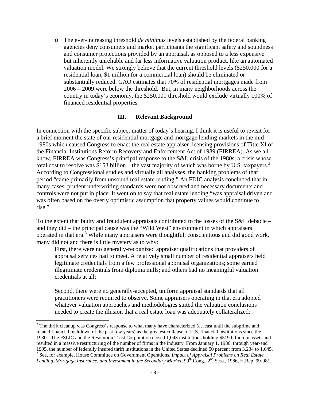o The ever-increasing threshold *de minimus* levels established by the federal banking agencies deny consumers and market participants the significant safety and soundness and consumer protections provided by an appraisal, as opposed to a less expensive but inherently unreliable and far less informative valuation product, like an automated valuation model. We strongly believe that the current threshold levels (\$250,000 for a residential loan, \$1 million for a commercial loan) should be eliminated or substantially reduced. GAO estimates that 70% of residential mortgages made from 2006 – 2009 were below the threshold. But, in many neighborhoods across the country in today's economy, the \$250,000 threshold would exclude virtually 100% of financed residential properties.

#### **III. Relevant Background**

In connection with the specific subject matter of today's hearing, I think it is useful to revisit for a brief moment the state of our residential mortgage and mortgage lending markets in the mid-1980s which caused Congress to enact the real estate appraiser licensing provisions of Title XI of the Financial Institutions Reform Recovery and Enforcement Act of 1989 (FIRREA). As we all know, FIRREA was Congress's principal response to the S&L crisis of the 1980s, a crisis whose total cost to resolve was \$153 billion – the vast majority of which was borne by U.S. taxpayers.<sup>2</sup> According to Congressional studies and virtually all analyses, the banking problems of that period "came primarily from unsound real estate lending." An FDIC analysis concluded that in many cases, prudent underwriting standards were not observed and necessary documents and controls were not put in place. It went on to say that real estate lending "was appraisal driven and was often based on the overly optimistic assumption that property values would continue to rise."

To the extent that faulty and fraudulent appraisals contributed to the losses of the S&L debacle – and they did – the principal cause was the "Wild West" environment in which appraisers operated in that era.<sup>3</sup> While many appraisers were thoughtful, conscientious and did good work, many did not and there is little mystery as to why:

First, there were no generally-recognized appraiser qualifications that providers of appraisal services had to meet. A relatively small number of residential appraisers held legitimate credentials from a few professional appraisal organizations; some earned illegitimate credentials from diploma mills; and others had no meaningful valuation credentials at all;

Second, there were no generally-accepted, uniform appraisal standards that all practitioners were required to observe. Some appraisers operating in that era adopted whatever valuation approaches and methodologies suited the valuation conclusions needed to create the illusion that a real estate loan was adequately collateralized;

  $2^2$  The thrift cleanup was Congress's response to what many have characterized (at least until the subprime and related financial meltdown of the past few years) as the greatest collapse of U.S. financial institutions since the 1930s. The FSLIC and the Resolution Trust Corporation closed 1,043 institutions holding \$519 billion in assets and resulted in a massive restructuring of the number of firms in the industry. From January 1, 1986, through year-end 1995, the number of federally insured thrift institutions in the United States declined 50 percent from 3,234 to 1,645. 3 See, for example, House Committee on Government Operations, *Impact of Appraisal Problems on Real Estate* 

Lending, Mortgage Insurance, and Investment in the Secondary Market, 99<sup>th</sup> Cong., 2<sup>nd</sup> Sess., 1986, H.Rep. 99-981.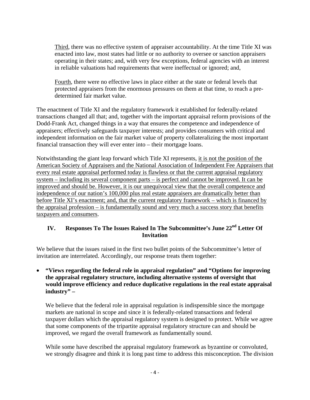Third, there was no effective system of appraiser accountability. At the time Title XI was enacted into law, most states had little or no authority to oversee or sanction appraisers operating in their states; and, with very few exceptions, federal agencies with an interest in reliable valuations had requirements that were ineffectual or ignored; and,

Fourth, there were no effective laws in place either at the state or federal levels that protected appraisers from the enormous pressures on them at that time, to reach a predetermined fair market value.

The enactment of Title XI and the regulatory framework it established for federally-related transactions changed all that; and, together with the important appraisal reform provisions of the Dodd-Frank Act, changed things in a way that ensures the competence and independence of appraisers; effectively safeguards taxpayer interests; and provides consumers with critical and independent information on the fair market value of property collateralizing the most important financial transaction they will ever enter into – their mortgage loans.

Notwithstanding the giant leap forward which Title XI represents, it is not the position of the American Society of Appraisers and the National Association of Independent Fee Appraisers that every real estate appraisal performed today is flawless or that the current appraisal regulatory system – including its several component parts – is perfect and cannot be improved. It can be improved and should be. However, it is our unequivocal view that the overall competence and independence of our nation's 100,000 plus real estate appraisers are dramatically better than before Title XI's enactment; and, that the current regulatory framework – which is financed by the appraisal profession – is fundamentally sound and very much a success story that benefits taxpayers and consumers.

## **IV. Responses To The Issues Raised In The Subcommittee's June 22nd Letter Of Invitation**

We believe that the issues raised in the first two bullet points of the Subcommittee's letter of invitation are interrelated. Accordingly, our response treats them together:

• **"Views regarding the federal role in appraisal regulation" and "Options for improving the appraisal regulatory structure, including alternative systems of oversight that would improve efficiency and reduce duplicative regulations in the real estate appraisal industry" –** 

We believe that the federal role in appraisal regulation is indispensible since the mortgage markets are national in scope and since it is federally-related transactions and federal taxpayer dollars which the appraisal regulatory system is designed to protect. While we agree that some components of the tripartite appraisal regulatory structure can and should be improved, we regard the overall framework as fundamentally sound.

While some have described the appraisal regulatory framework as byzantine or convoluted, we strongly disagree and think it is long past time to address this misconception. The division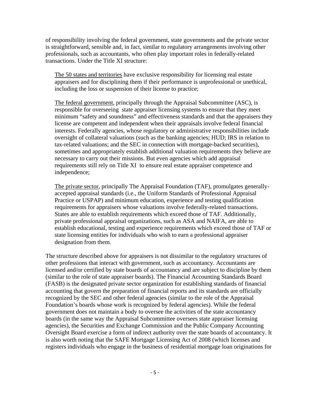of responsibility involving the federal government, state governments and the private sector is straightforward, sensible and, in fact, similar to regulatory arrangements involving other professionals, such as accountants, who often play important roles in federally-related transactions. Under the Title XI structure:

The 50 states and territories have exclusive responsibility for licensing real estate appraisers and for disciplining them if their performance is unprofessional or unethical, including the loss or suspension of their license to practice;

The federal government, principally through the Appraisal Subcommittee (ASC), is responsible for overseeing state appraiser licensing systems to ensure that they meet minimum "safety and soundness" and effectiveness standards and that the appraisers they license are competent and independent when their appraisals involve federal financial interests. Federally agencies, whose regulatory or administrative responsibilities include oversight of collateral valuations (such as the banking agencies; HUD; IRS in relation to tax-related valuations; and the SEC in connection with mortgage-backed securities), sometimes and appropriately establish additional valuation requirements they believe are necessary to carry out their missions. But even agencies which add appraisal requirements still rely on Title XI to ensure real estate appraiser competence and independence;

The private sector, principally The Appraisal Foundation (TAF), promulgates generallyaccepted appraisal standards (i.e., the Uniform Standards of Professional Appraisal Practice or USPAP) and minimum education, experience and testing qualification requirements for appraisers whose valuations involve federally-related transactions. States are able to establish requirements which exceed those of TAF. Additionally, private professional appraisal organizations, such as ASA and NAIFA, are able to establish educational, testing and experience requirements which exceed those of TAF or state licensing entities for individuals who wish to earn a professional appraiser designation from them.

The structure described above for appraisers is not dissimilar to the regulatory structures of other professions that interact with government, such as accountancy. Accountants are licensed and/or certified by state boards of accountancy and are subject to discipline by them (similar to the role of state appraiser boards). The Financial Accounting Standards Board (FASB) is the designated private sector organization for establishing standards of financial accounting that govern the preparation of financial reports and its standards are officially recognized by the SEC and other federal agencies (similar to the role of the Appraisal Foundation's boards whose work is recognized by federal agencies). While the federal government does not maintain a body to oversee the activities of the state accountancy boards (in the same way the Appraisal Subcommittee oversees state appraiser licensing agencies), the Securities and Exchange Commission and the Public Company Accounting Oversight Board exercise a form of indirect authority over the state boards of accountancy. It is also worth noting that the SAFE Mortgage Licensing Act of 2008 (which licenses and registers individuals who engage in the business of residential mortgage loan originations for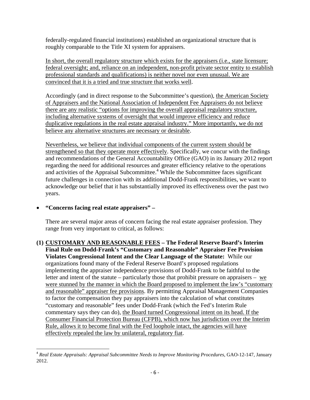federally-regulated financial institutions) established an organizational structure that is roughly comparable to the Title XI system for appraisers.

In short, the overall regulatory structure which exists for the appraisers (i.e., state licensure; federal oversight; and, reliance on an independent, non-profit private sector entity to establish professional standards and qualifications) is neither novel nor even unusual. We are convinced that it is a tried and true structure that works well.

Accordingly (and in direct response to the Subcommittee's question), the American Society of Appraisers and the National Association of Independent Fee Appraisers do not believe there are any realistic "options for improving the overall appraisal regulatory structure, including alternative systems of oversight that would improve efficiency and reduce duplicative regulations in the real estate appraisal industry." More importantly, we do not believe any alternative structures are necessary or desirable.

Nevertheless, we believe that individual components of the current system should be strengthened so that they operate more effectively. Specifically, we concur with the findings and recommendations of the General Accountability Office (GAO) in its January 2012 report regarding the need for additional resources and greater efficiency relative to the operations and activities of the Appraisal Subcommittee.<sup>4</sup> While the Subcommittee faces significant future challenges in connection with its additional Dodd-Frank responsibilities, we want to acknowledge our belief that it has substantially improved its effectiveness over the past two years.

## • **"Concerns facing real estate appraisers" –**

There are several major areas of concern facing the real estate appraiser profession. They range from very important to critical, as follows:

**(1) CUSTOMARY AND REASONABLE FEES – The Federal Reserve Board's Interim Final Rule on Dodd-Frank's "Customary and Reasonable" Appraiser Fee Provision Violates Congressional Intent and the Clear Language of the Statute:** While our organizations found many of the Federal Reserve Board's proposed regulations implementing the appraiser independence provisions of Dodd-Frank to be faithful to the letter and intent of the statute – particularly those that prohibit pressure on appraisers – we were stunned by the manner in which the Board proposed to implement the law's "customary and reasonable" appraiser fee provisions. By permitting Appraisal Management Companies to factor the compensation they pay appraisers into the calculation of what constitutes "customary and reasonable" fees under Dodd-Frank (which the Fed's Interim Rule commentary says they can do), the Board turned Congressional intent on its head. If the Consumer Financial Protection Bureau (CFPB), which now has jurisdiction over the Interim Rule, allows it to become final with the Fed loophole intact, the agencies will have effectively repealed the law by unilateral, regulatory fiat.

 <sup>4</sup> *Real Estate Appraisals: Appraisal Subcommittee Needs to Improve Monitoring Procedures*, GAO-12-147, January 2012.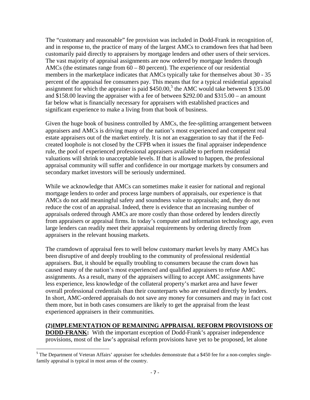The "customary and reasonable" fee provision was included in Dodd-Frank in recognition of, and in response to, the practice of many of the largest AMCs to cramdown fees that had been customarily paid directly to appraisers by mortgage lenders and other users of their services. The vast majority of appraisal assignments are now ordered by mortgage lenders through AMCs (the estimates range from  $60 - 80$  percent). The experience of our residential members in the marketplace indicates that AMCs typically take for themselves about 30 - 35 percent of the appraisal fee consumers pay. This means that for a typical residential appraisal assignment for which the appraiser is paid  $$450.00$ ,<sup>5</sup> the AMC would take between  $$135.00$ and \$158.00 leaving the appraiser with a fee of between \$292.00 and \$315.00 – an amount far below what is financially necessary for appraisers with established practices and significant experience to make a living from that book of business.

Given the huge book of business controlled by AMCs, the fee-splitting arrangement between appraisers and AMCs is driving many of the nation's most experienced and competent real estate appraisers out of the market entirely. It is not an exaggeration to say that if the Fedcreated loophole is not closed by the CFPB when it issues the final appraiser independence rule, the pool of experienced professional appraisers available to perform residential valuations will shrink to unacceptable levels. If that is allowed to happen, the professional appraisal community will suffer and confidence in our mortgage markets by consumers and secondary market investors will be seriously undermined.

While we acknowledge that AMCs can sometimes make it easier for national and regional mortgage lenders to order and process large numbers of appraisals, our experience is that AMCs do not add meaningful safety and soundness value to appraisals; and, they do not reduce the cost of an appraisal. Indeed, there is evidence that an increasing number of appraisals ordered through AMCs are more costly than those ordered by lenders directly from appraisers or appraisal firms. In today's computer and information technology age, even large lenders can readily meet their appraisal requirements by ordering directly from appraisers in the relevant housing markets.

The cramdown of appraisal fees to well below customary market levels by many AMCs has been disruptive of and deeply troubling to the community of professional residential appraisers. But, it should be equally troubling to consumers because the cram down has caused many of the nation's most experienced and qualified appraisers to refuse AMC assignments. As a result, many of the appraisers willing to accept AMC assignments have less experience, less knowledge of the collateral property's market area and have fewer overall professional credentials than their counterparts who are retained directly by lenders. In short, AMC-ordered appraisals do not save any money for consumers and may in fact cost them more, but in both cases consumers are likely to get the appraisal from the least experienced appraisers in their communities.

## **(2)IMPLEMENTATION OF REMAINING APPRAISAL REFORM PROVISIONS OF**

**DODD-FRANK:** With the important exception of Dodd-Frank's appraiser independence provisions, most of the law's appraisal reform provisions have yet to be proposed, let alone

 $5$  The Department of Veteran Affairs' appraiser fee schedules demonstrate that a \$450 fee for a non-complex singlefamily appraisal is typical in most areas of the country.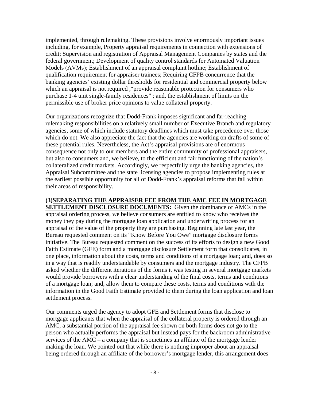implemented, through rulemaking. These provisions involve enormously important issues including, for example, Property appraisal requirements in connection with extensions of credit; Supervision and registration of Appraisal Management Companies by states and the federal government; Development of quality control standards for Automated Valuation Models (AVMs); Establishment of an appraisal complaint hotline; Establishment of qualification requirement for appraiser trainees; Requiring CFPB concurrence that the banking agencies' existing dollar thresholds for residential and commercial property below which an appraisal is not required , "provide reasonable protection for consumers who purchase 1-4 unit single-family residences" ; and, the establishment of limits on the permissible use of broker price opinions to value collateral property.

Our organizations recognize that Dodd-Frank imposes significant and far-reaching rulemaking responsibilities on a relatively small number of Executive Branch and regulatory agencies, some of which include statutory deadlines which must take precedence over those which do not. We also appreciate the fact that the agencies are working on drafts of some of these potential rules. Nevertheless, the Act's appraisal provisions are of enormous consequence not only to our members and the entire community of professional appraisers, but also to consumers and, we believe, to the efficient and fair functioning of the nation's collateralized credit markets. Accordingly, we respectfully urge the banking agencies, the Appraisal Subcommittee and the state licensing agencies to propose implementing rules at the earliest possible opportunity for all of Dodd-Frank's appraisal reforms that fall within their areas of responsibility.

**(3)SEPARATING THE APPRAISER FEE FROM THE AMC FEE IN MORTGAGE SETTLEMENT DISCLOSURE DOCUMENTS:** Given the dominance of AMCs in the appraisal ordering process, we believe consumers are entitled to know who receives the money they pay during the mortgage loan application and underwriting process for an appraisal of the value of the property they are purchasing. Beginning late last year, the Bureau requested comment on its "Know Before You Owe" mortgage disclosure forms initiative. The Bureau requested comment on the success of its efforts to design a new Good Faith Estimate (GFE) form and a mortgage disclosure Settlement form that consolidates, in one place, information about the costs, terms and conditions of a mortgage loan; and, does so in a way that is readily understandable by consumers and the mortgage industry. The CFPB asked whether the different iterations of the forms it was testing in several mortgage markets would provide borrowers with a clear understanding of the final costs, terms and conditions of a mortgage loan; and, allow them to compare these costs, terms and conditions with the information in the Good Faith Estimate provided to them during the loan application and loan settlement process.

Our comments urged the agency to adopt GFE and Settlement forms that disclose to mortgage applicants that when the appraisal of the collateral property is ordered through an AMC, a substantial portion of the appraisal fee shown on both forms does not go to the person who actually performs the appraisal but instead pays for the backroom administrative services of the AMC – a company that is sometimes an affiliate of the mortgage lender making the loan. We pointed out that while there is nothing improper about an appraisal being ordered through an affiliate of the borrower's mortgage lender, this arrangement does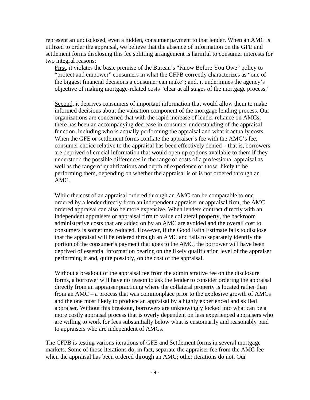represent an undisclosed, even a hidden, consumer payment to that lender. When an AMC is utilized to order the appraisal, we believe that the absence of information on the GFE and settlement forms disclosing this fee splitting arrangement is harmful to consumer interests for two integral reasons:

First, it violates the basic premise of the Bureau's "Know Before You Owe" policy to "protect and empower" consumers in what the CFPB correctly characterizes as "one of the biggest financial decisions a consumer can make"; and, it undermines the agency's objective of making mortgage-related costs "clear at all stages of the mortgage process."

Second, it deprives consumers of important information that would allow them to make informed decisions about the valuation component of the mortgage lending process. Our organizations are concerned that with the rapid increase of lender reliance on AMCs, there has been an accompanying decrease in consumer understanding of the appraisal function, including who is actually performing the appraisal and what it actually costs. When the GFE or settlement forms conflate the appraiser's fee with the AMC's fee, consumer choice relative to the appraisal has been effectively denied – that is, borrowers are deprived of crucial information that would open up options available to them if they understood the possible differences in the range of costs of a professional appraisal as well as the range of qualifications and depth of experience of those likely to be performing them, depending on whether the appraisal is or is not ordered through an AMC.

While the cost of an appraisal ordered through an AMC can be comparable to one ordered by a lender directly from an independent appraiser or appraisal firm, the AMC ordered appraisal can also be more expensive. When lenders contract directly with an independent appraisers or appraisal firm to value collateral property, the backroom administrative costs that are added on by an AMC are avoided and the overall cost to consumers is sometimes reduced. However, if the Good Faith Estimate fails to disclose that the appraisal will be ordered through an AMC and fails to separately identify the portion of the consumer's payment that goes to the AMC, the borrower will have been deprived of essential information bearing on the likely qualification level of the appraiser performing it and, quite possibly, on the cost of the appraisal.

Without a breakout of the appraisal fee from the administrative fee on the disclosure forms, a borrower will have no reason to ask the lender to consider ordering the appraisal directly from an appraiser practicing where the collateral property is located rather than from an AMC – a process that was commonplace prior to the explosive growth of AMCs and the one most likely to produce an appraisal by a highly experienced and skilled appraiser. Without this breakout, borrowers are unknowingly locked into what can be a more costly appraisal process that is overly dependent on less experienced appraisers who are willing to work for fees substantially below what is customarily and reasonably paid to appraisers who are independent of AMCs.

The CFPB is testing various iterations of GFE and Settlement forms in several mortgage markets. Some of those iterations do, in fact, separate the appraiser fee from the AMC fee when the appraisal has been ordered through an AMC; other iterations do not. Our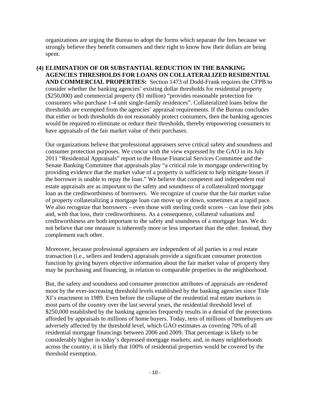organizations are urging the Bureau to adopt the forms which separate the fees because we strongly believe they benefit consumers and their right to know how their dollars are being spent.

**(4) ELIMINATION OF OR SUBSTANTIAL REDUCTION IN THE BANKING AGENCIES THRESHOLDS FOR LOANS ON COLLATERALIZED RESIDENTIAL AND COMMERCIAL PROPERTIES:** Section 1473 of Dodd-Frank requires the CFPB to consider whether the banking agencies' existing dollar thresholds for residential property (\$250,000) and commercial property (\$1 million) "provides reasonable protection for consumers who purchase 1-4 unit single-family residences". Collateralized loans below the thresholds are exempted from the agencies' appraisal requirements. If the Bureau concludes that either or both thresholds do not reasonably protect consumers, then the banking agencies would be required to eliminate or reduce their thresholds, thereby empowering consumers to have appraisals of the fair market value of their purchases.

Our organizations believe that professional appraisers serve critical safety and soundness and consumer protection purposes. We concur with the view expressed by the GAO in its July 2011 "Residential Appraisals" report to the House Financial Services Committee and the Senate Banking Committee that appraisals play "a critical role in mortgage underwriting by providing evidence that the market value of a property is sufficient to help mitigate losses if the borrower is unable to repay the loan." We believe that competent and independent real estate appraisals are as important to the safety and soundness of a collateralized mortgage loan as the creditworthiness of borrowers. We recognize of course that the fair market value of property collateralizing a mortgage loan can move up or down, sometimes at a rapid pace. We also recognize that borrowers – even those with sterling credit scores – can lose their jobs and, with that loss, their creditworthiness. As a consequence, collateral valuations and creditworthiness are both important to the safety and soundness of a mortgage loan. We do not believe that one measure is inherently more or less important than the other. Instead, they complement each other.

Moreover, because professional appraisers are independent of all parties to a real estate transaction (i.e., sellers and lenders) appraisals provide a significant consumer protection function by giving buyers objective information about the fair market value of property they may be purchasing and financing, in relation to comparable properties in the neighborhood.

But, the safety and soundness and consumer protection attributes of appraisals are rendered moot by the ever-increasing threshold levels established by the banking agencies since Title XI's enactment in 1989. Even before the collapse of the residential real estate markets in most parts of the country over the last several years, the residential threshold level of \$250,000 established by the banking agencies frequently results in a denial of the protections afforded by appraisals to millions of home buyers. Today, tens of millions of homebuyers are adversely affected by the threshold level, which GAO estimates as covering 70% of all residential mortgage financings between 2006 and 2009. That percentage is likely to be considerably higher in today's depressed mortgage markets; and, in many neighborhoods across the country, it is likely that 100% of residential properties would be covered by the threshold exemption.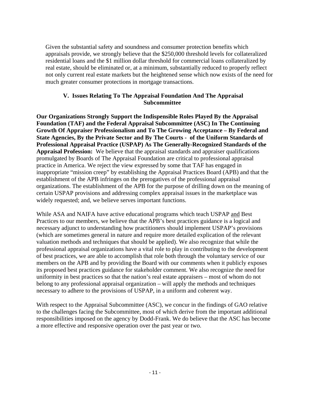Given the substantial safety and soundness and consumer protection benefits which appraisals provide, we strongly believe that the \$250,000 threshold levels for collateralized residential loans and the \$1 million dollar threshold for commercial loans collateralized by real estate, should be eliminated or, at a minimum, substantially reduced to properly reflect not only current real estate markets but the heightened sense which now exists of the need for much greater consumer protections in mortgage transactions.

#### **V. Issues Relating To The Appraisal Foundation And The Appraisal Subcommittee**

**Our Organizations Strongly Support the Indispensible Roles Played By the Appraisal Foundation (TAF) and the Federal Appraisal Subcommittee (ASC) In The Continuing Growth Of Appraiser Professionalism and To The Growing Acceptance – By Federal and State Agencies, By the Private Sector and By The Courts - of the Uniform Standards of Professional Appraisal Practice (USPAP) As The Generally-Recognized Standards of the Appraisal Profession:** We believe that the appraisal standards and appraiser qualifications promulgated by Boards of The Appraisal Foundation are critical to professional appraisal practice in America. We reject the view expressed by some that TAF has engaged in inappropriate "mission creep" by establishing the Appraisal Practices Board (APB) and that the establishment of the APB infringes on the prerogatives of the professional appraisal organizations. The establishment of the APB for the purpose of drilling down on the meaning of certain USPAP provisions and addressing complex appraisal issues in the marketplace was widely requested; and, we believe serves important functions.

While ASA and NAIFA have active educational programs which teach USPAP and Best Practices to our members, we believe that the APB's best practices guidance is a logical and necessary adjunct to understanding how practitioners should implement USPAP's provisions (which are sometimes general in nature and require more detailed explication of the relevant valuation methods and techniques that should be applied). We also recognize that while the professional appraisal organizations have a vital role to play in contributing to the development of best practices, we are able to accomplish that role both through the voluntary service of our members on the APB and by providing the Board with our comments when it publicly exposes its proposed best practices guidance for stakeholder comment. We also recognize the need for uniformity in best practices so that the nation's real estate appraisers – most of whom do not belong to any professional appraisal organization – will apply the methods and techniques necessary to adhere to the provisions of USPAP, in a uniform and coherent way.

With respect to the Appraisal Subcommittee (ASC), we concur in the findings of GAO relative to the challenges facing the Subcommittee, most of which derive from the important additional responsibilities imposed on the agency by Dodd-Frank. We do believe that the ASC has become a more effective and responsive operation over the past year or two.